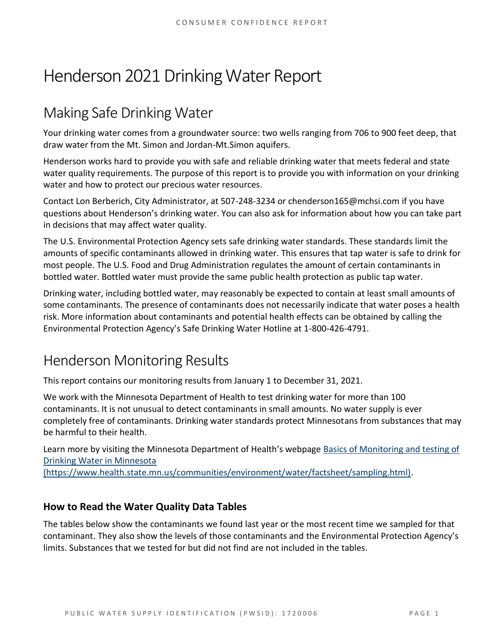# Henderson 2021 Drinking Water Report

## Making Safe Drinking Water

Your drinking water comes from a groundwater source: two wells ranging from 706 to 900 feet deep, that draw water from the Mt. Simon and Jordan-Mt.Simon aquifers.

Henderson works hard to provide you with safe and reliable drinking water that meets federal and state water quality requirements. The purpose of this report is to provide you with information on your drinking water and how to protect our precious water resources.

Contact Lon Berberich, City Administrator, at 507-248-3234 or chenderson165@mchsi.com if you have questions about Henderson's drinking water. You can also ask for information about how you can take part in decisions that may affect water quality.

The U.S. Environmental Protection Agency sets safe drinking water standards. These standards limit the amounts of specific contaminants allowed in drinking water. This ensures that tap water is safe to drink for most people. The U.S. Food and Drug Administration regulates the amount of certain contaminants in bottled water. Bottled water must provide the same public health protection as public tap water.

Drinking water, including bottled water, may reasonably be expected to contain at least small amounts of some contaminants. The presence of contaminants does not necessarily indicate that water poses a health risk. More information about contaminants and potential health effects can be obtained by calling the Environmental Protection Agency's Safe Drinking Water Hotline at 1-800-426-4791.

### Henderson Monitoring Results

This report contains our monitoring results from January 1 to December 31, 2021.

We work with the Minnesota Department of Health to test drinking water for more than 100 contaminants. It is not unusual to detect contaminants in small amounts. No water supply is ever completely free of contaminants. Drinking water standards protect Minnesotans from substances that may be harmful to their health.

Learn more by visiting the Minnesota Department of Health's webpage [Basics of Monitoring and testing of](https://www.health.state.mn.us/communities/environment/water/factsheet/sampling.html)  [Drinking Water in Minnesota](https://www.health.state.mn.us/communities/environment/water/factsheet/sampling.html) 

[\(https://www.health.state.mn.us/communities/environment/water/factsheet/sampling.html\).](https://www.health.state.mn.us/communities/environment/water/factsheet/sampling.html)

#### **How to Read the Water Quality Data Tables**

The tables below show the contaminants we found last year or the most recent time we sampled for that contaminant. They also show the levels of those contaminants and the Environmental Protection Agency's limits. Substances that we tested for but did not find are not included in the tables.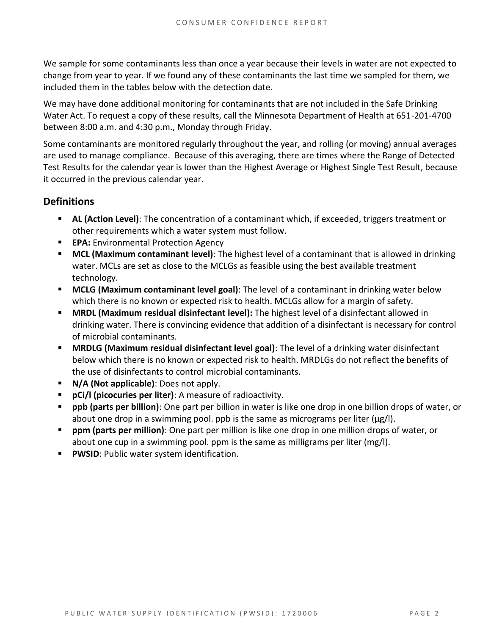We sample for some contaminants less than once a year because their levels in water are not expected to change from year to year. If we found any of these contaminants the last time we sampled for them, we included them in the tables below with the detection date.

We may have done additional monitoring for contaminants that are not included in the Safe Drinking Water Act. To request a copy of these results, call the Minnesota Department of Health at 651-201-4700 between 8:00 a.m. and 4:30 p.m., Monday through Friday.

Some contaminants are monitored regularly throughout the year, and rolling (or moving) annual averages are used to manage compliance. Because of this averaging, there are times where the Range of Detected Test Results for the calendar year is lower than the Highest Average or Highest Single Test Result, because it occurred in the previous calendar year.

#### **Definitions**

- AL (Action Level): The concentration of a contaminant which, if exceeded, triggers treatment or other requirements which a water system must follow.
- **EPA:** Environmental Protection Agency
- **MCL (Maximum contaminant level)**: The highest level of a contaminant that is allowed in drinking water. MCLs are set as close to the MCLGs as feasible using the best available treatment technology.
- **MCLG (Maximum contaminant level goal)**: The level of a contaminant in drinking water below which there is no known or expected risk to health. MCLGs allow for a margin of safety.
- **MRDL (Maximum residual disinfectant level):** The highest level of a disinfectant allowed in drinking water. There is convincing evidence that addition of a disinfectant is necessary for control of microbial contaminants.
- **MRDLG (Maximum residual disinfectant level goal)**: The level of a drinking water disinfectant below which there is no known or expected risk to health. MRDLGs do not reflect the benefits of the use of disinfectants to control microbial contaminants.
- **N/A (Not applicable)**: Does not apply.
- **pCi/l (picocuries per liter)**: A measure of radioactivity.
- **ppb (parts per billion)**: One part per billion in water is like one drop in one billion drops of water, or about one drop in a swimming pool. ppb is the same as micrograms per liter (μg/l).
- **ppm (parts per million)**: One part per million is like one drop in one million drops of water, or about one cup in a swimming pool. ppm is the same as milligrams per liter (mg/l).
- **PWSID: Public water system identification.**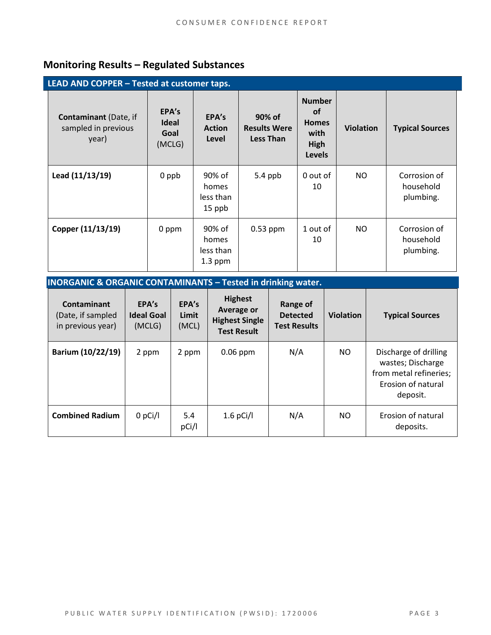### **Monitoring Results – Regulated Substances**

| LEAD AND COPPER - Tested at customer taps.                   |                                         |                                           |                                                   |                                                                             |                  |                                        |
|--------------------------------------------------------------|-----------------------------------------|-------------------------------------------|---------------------------------------------------|-----------------------------------------------------------------------------|------------------|----------------------------------------|
| <b>Contaminant</b> (Date, if<br>sampled in previous<br>year) | EPA's<br><b>Ideal</b><br>Goal<br>(MCLG) | EPA's<br><b>Action</b><br>Level           | 90% of<br><b>Results Were</b><br><b>Less Than</b> | <b>Number</b><br><b>of</b><br><b>Homes</b><br>with<br>High<br><b>Levels</b> | <b>Violation</b> | <b>Typical Sources</b>                 |
| Lead (11/13/19)                                              | 0 ppb                                   | 90% of<br>homes<br>less than<br>15 ppb    | 5.4 ppb                                           | 0 out of<br>10                                                              | NO               | Corrosion of<br>household<br>plumbing. |
| Copper (11/13/19)                                            | 0 ppm                                   | 90% of<br>homes<br>less than<br>$1.3$ ppm | $0.53$ ppm                                        | 1 out of<br>10                                                              | NO.              | Corrosion of<br>household<br>plumbing. |

| <b>INORGANIC &amp; ORGANIC CONTAMINANTS - Tested in drinking water.</b> |  |
|-------------------------------------------------------------------------|--|
|-------------------------------------------------------------------------|--|

| Contaminant<br>(Date, if sampled<br>in previous year) | EPA's<br><b>Ideal Goal</b><br>(MCLG) | EPA's<br>Limit<br>(MCL) | <b>Highest</b><br>Average or<br><b>Highest Single</b><br><b>Test Result</b> | Range of<br><b>Detected</b><br><b>Test Results</b> | <b>Violation</b> | <b>Typical Sources</b>                                                                                 |
|-------------------------------------------------------|--------------------------------------|-------------------------|-----------------------------------------------------------------------------|----------------------------------------------------|------------------|--------------------------------------------------------------------------------------------------------|
| Barium (10/22/19)                                     | 2 ppm                                | 2 ppm                   | $0.06$ ppm                                                                  | N/A                                                | NO.              | Discharge of drilling<br>wastes; Discharge<br>from metal refineries;<br>Erosion of natural<br>deposit. |
| <b>Combined Radium</b>                                | $0$ pCi/l                            | 5.4<br>pCi/l            | $1.6$ pCi/l                                                                 | N/A                                                | NO.              | Erosion of natural<br>deposits.                                                                        |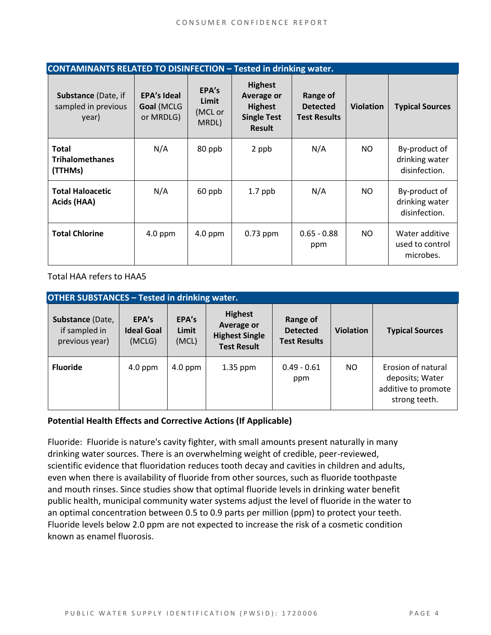| <b>CONTAMINANTS RELATED TO DISINFECTION - Tested in drinking water.</b> |                                               |                                    |                                                                                       |                                                    |                  |                                                  |  |
|-------------------------------------------------------------------------|-----------------------------------------------|------------------------------------|---------------------------------------------------------------------------------------|----------------------------------------------------|------------------|--------------------------------------------------|--|
| <b>Substance (Date, if</b><br>sampled in previous<br>year)              | <b>EPA's Ideal</b><br>Goal (MCLG<br>or MRDLG) | EPA's<br>Limit<br>(MCL or<br>MRDL) | <b>Highest</b><br>Average or<br><b>Highest</b><br><b>Single Test</b><br><b>Result</b> | Range of<br><b>Detected</b><br><b>Test Results</b> | <b>Violation</b> | <b>Typical Sources</b>                           |  |
| <b>Total</b><br><b>Trihalomethanes</b><br>(TTHMs)                       | N/A                                           | 80 ppb                             | 2 ppb                                                                                 | N/A                                                | NO.              | By-product of<br>drinking water<br>disinfection. |  |
| <b>Total Haloacetic</b><br>Acids (HAA)                                  | N/A                                           | 60 ppb                             | $1.7$ ppb                                                                             | N/A                                                | NO.              | By-product of<br>drinking water<br>disinfection. |  |
| <b>Total Chlorine</b>                                                   | $4.0$ ppm                                     | $4.0$ ppm                          | 0.73 ppm                                                                              | $0.65 - 0.88$<br>ppm                               | NO.              | Water additive<br>used to control<br>microbes.   |  |

Total HAA refers to HAA5

| <b>OTHER SUBSTANCES - Tested in drinking water.</b> |                                      |                         |                                                                                    |                                                    |                  |                                                                               |  |
|-----------------------------------------------------|--------------------------------------|-------------------------|------------------------------------------------------------------------------------|----------------------------------------------------|------------------|-------------------------------------------------------------------------------|--|
| Substance (Date,<br>if sampled in<br>previous year) | EPA's<br><b>Ideal Goal</b><br>(MCLG) | EPA's<br>Limit<br>(MCL) | <b>Highest</b><br><b>Average or</b><br><b>Highest Single</b><br><b>Test Result</b> | Range of<br><b>Detected</b><br><b>Test Results</b> | <b>Violation</b> | <b>Typical Sources</b>                                                        |  |
| <b>Fluoride</b>                                     | $4.0$ ppm                            | $4.0$ ppm               | $1.35$ ppm                                                                         | $0.49 - 0.61$<br>ppm                               | NO.              | Erosion of natural<br>deposits; Water<br>additive to promote<br>strong teeth. |  |

#### **Potential Health Effects and Corrective Actions (If Applicable)**

Fluoride: Fluoride is nature's cavity fighter, with small amounts present naturally in many drinking water sources. There is an overwhelming weight of credible, peer-reviewed, scientific evidence that fluoridation reduces tooth decay and cavities in children and adults, even when there is availability of fluoride from other sources, such as fluoride toothpaste and mouth rinses. Since studies show that optimal fluoride levels in drinking water benefit public health, municipal community water systems adjust the level of fluoride in the water to an optimal concentration between 0.5 to 0.9 parts per million (ppm) to protect your teeth. Fluoride levels below 2.0 ppm are not expected to increase the risk of a cosmetic condition known as enamel fluorosis.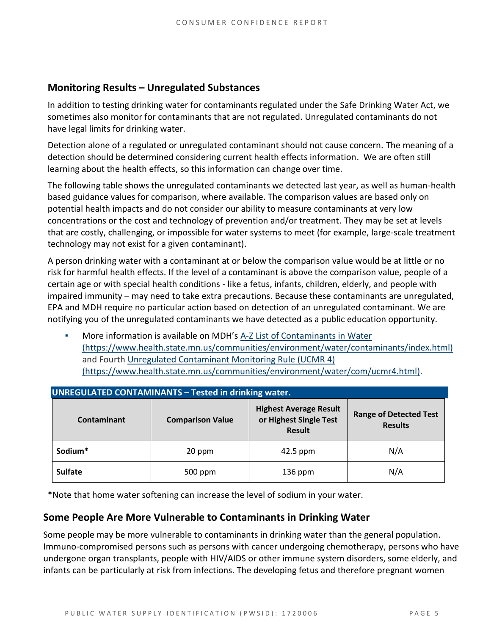#### **Monitoring Results – Unregulated Substances**

In addition to testing drinking water for contaminants regulated under the Safe Drinking Water Act, we sometimes also monitor for contaminants that are not regulated. Unregulated contaminants do not have legal limits for drinking water.

Detection alone of a regulated or unregulated contaminant should not cause concern. The meaning of a detection should be determined considering current health effects information. We are often still learning about the health effects, so this information can change over time.

The following table shows the unregulated contaminants we detected last year, as well as human-health based guidance values for comparison, where available. The comparison values are based only on potential health impacts and do not consider our ability to measure contaminants at very low concentrations or the cost and technology of prevention and/or treatment. They may be set at levels that are costly, challenging, or impossible for water systems to meet (for example, large-scale treatment technology may not exist for a given contaminant).

A person drinking water with a contaminant at or below the comparison value would be at little or no risk for harmful health effects. If the level of a contaminant is above the comparison value, people of a certain age or with special health conditions - like a fetus, infants, children, elderly, and people with impaired immunity – may need to take extra precautions. Because these contaminants are unregulated, EPA and MDH require no particular action based on detection of an unregulated contaminant. We are notifying you of the unregulated contaminants we have detected as a public education opportunity.

More information is available on MDH's A-Z List of Contaminants in Water [\(https://www.health.state.mn.us/communities/environment/water/contaminants/index.html\)](https://www.health.state.mn.us/communities/environment/water/contaminants/index.html) and Fourth [Unregulated Contaminant Monitoring Rule \(UCMR 4\)](https://www.health.state.mn.us/communities/environment/water/com/ucmr4.html)  [\(https://www.health.state.mn.us/communities/environment/water/com/ucmr4.html\).](https://www.health.state.mn.us/communities/environment/water/com/ucmr4.html)

| <b>UNREGULATED CONTAMINANTS - Tested in drinking water.</b> |                         |                                                                          |                                                 |  |  |  |  |
|-------------------------------------------------------------|-------------------------|--------------------------------------------------------------------------|-------------------------------------------------|--|--|--|--|
| Contaminant                                                 | <b>Comparison Value</b> | <b>Highest Average Result</b><br>or Highest Single Test<br><b>Result</b> | <b>Range of Detected Test</b><br><b>Results</b> |  |  |  |  |
| Sodium*                                                     | 20 ppm                  | $42.5$ ppm                                                               | N/A                                             |  |  |  |  |
| <b>Sulfate</b>                                              | 500 ppm                 | $136$ ppm                                                                | N/A                                             |  |  |  |  |

\*Note that home water softening can increase the level of sodium in your water.

#### **Some People Are More Vulnerable to Contaminants in Drinking Water**

Some people may be more vulnerable to contaminants in drinking water than the general population. Immuno-compromised persons such as persons with cancer undergoing chemotherapy, persons who have undergone organ transplants, people with HIV/AIDS or other immune system disorders, some elderly, and infants can be particularly at risk from infections. The developing fetus and therefore pregnant women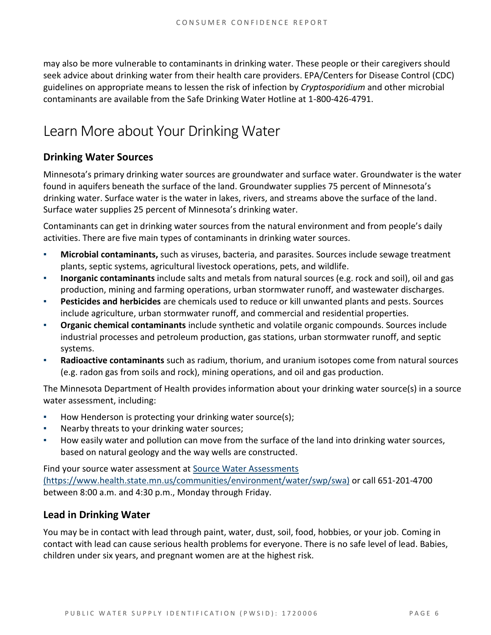may also be more vulnerable to contaminants in drinking water. These people or their caregivers should seek advice about drinking water from their health care providers. EPA/Centers for Disease Control (CDC) guidelines on appropriate means to lessen the risk of infection by *Cryptosporidium* and other microbial contaminants are available from the Safe Drinking Water Hotline at 1-800-426-4791.

### Learn More about Your Drinking Water

#### **Drinking Water Sources**

Minnesota's primary drinking water sources are groundwater and surface water. Groundwater is the water found in aquifers beneath the surface of the land. Groundwater supplies 75 percent of Minnesota's drinking water. Surface water is the water in lakes, rivers, and streams above the surface of the land. Surface water supplies 25 percent of Minnesota's drinking water.

Contaminants can get in drinking water sources from the natural environment and from people's daily activities. There are five main types of contaminants in drinking water sources.

- **Microbial contaminants,** such as viruses, bacteria, and parasites. Sources include sewage treatment plants, septic systems, agricultural livestock operations, pets, and wildlife.
- **Inorganic contaminants** include salts and metals from natural sources (e.g. rock and soil), oil and gas production, mining and farming operations, urban stormwater runoff, and wastewater discharges.
- **Pesticides and herbicides** are chemicals used to reduce or kill unwanted plants and pests. Sources include agriculture, urban stormwater runoff, and commercial and residential properties.
- **Organic chemical contaminants** include synthetic and volatile organic compounds. Sources include industrial processes and petroleum production, gas stations, urban stormwater runoff, and septic systems.
- Radioactive contaminants such as radium, thorium, and uranium isotopes come from natural sources (e.g. radon gas from soils and rock), mining operations, and oil and gas production.

The Minnesota Department of Health provides information about your drinking water source(s) in a source water assessment, including:

- How Henderson is protecting your drinking water source(s);
- Nearby threats to your drinking water sources;
- How easily water and pollution can move from the surface of the land into drinking water sources, based on natural geology and the way wells are constructed.

Find your source water assessment at [Source Water Assessments](https://www.health.state.mn.us/communities/environment/water/swp/swa)  [\(https://www.health.state.mn.us/communities/environment/water/swp/swa\)](https://www.health.state.mn.us/communities/environment/water/swp/swa) or call 651-201-4700 between 8:00 a.m. and 4:30 p.m., Monday through Friday.

#### **Lead in Drinking Water**

You may be in contact with lead through paint, water, dust, soil, food, hobbies, or your job. Coming in contact with lead can cause serious health problems for everyone. There is no safe level of lead. Babies, children under six years, and pregnant women are at the highest risk.